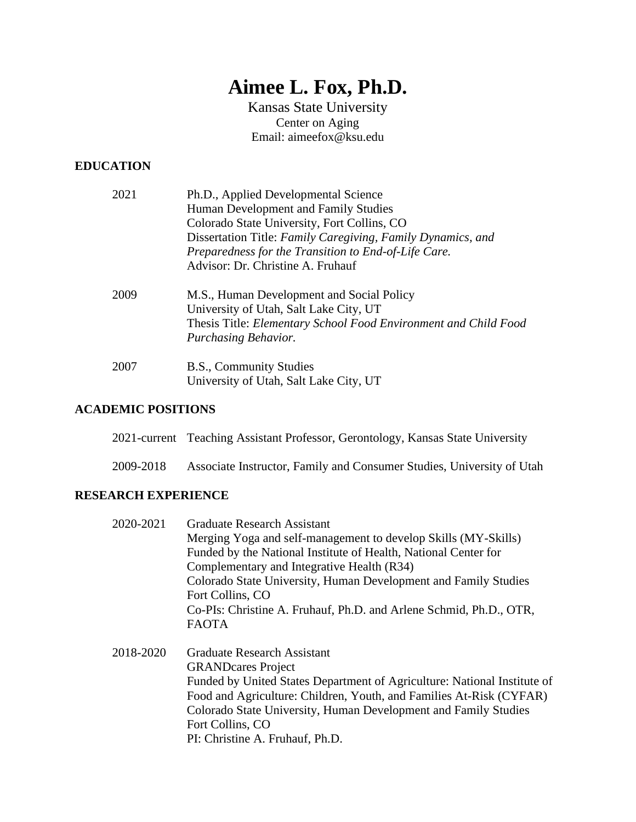# **Aimee L. Fox, Ph.D.**

Kansas State University Center on Aging Email: aimeefox@ksu.edu

# **EDUCATION**

| 2021 | Ph.D., Applied Developmental Science                            |
|------|-----------------------------------------------------------------|
|      | Human Development and Family Studies                            |
|      | Colorado State University, Fort Collins, CO                     |
|      | Dissertation Title: Family Caregiving, Family Dynamics, and     |
|      | Preparedness for the Transition to End-of-Life Care.            |
|      | Advisor: Dr. Christine A. Fruhauf                               |
| 2009 | M.S., Human Development and Social Policy                       |
|      | University of Utah, Salt Lake City, UT                          |
|      | Thesis Title: Elementary School Food Environment and Child Food |
|      | Purchasing Behavior.                                            |
| 2007 | B.S., Community Studies                                         |
|      | University of Utah, Salt Lake City, UT                          |
|      |                                                                 |

## **ACADEMIC POSITIONS**

|           | 2021-current Teaching Assistant Professor, Gerontology, Kansas State University |
|-----------|---------------------------------------------------------------------------------|
| 2009-2018 | Associate Instructor, Family and Consumer Studies, University of Utah           |

# **RESEARCH EXPERIENCE**

| 2020-2021 | <b>Graduate Research Assistant</b>                                 |
|-----------|--------------------------------------------------------------------|
|           | Merging Yoga and self-management to develop Skills (MY-Skills)     |
|           | Funded by the National Institute of Health, National Center for    |
|           | Complementary and Integrative Health (R34)                         |
|           | Colorado State University, Human Development and Family Studies    |
|           | Fort Collins, CO                                                   |
|           | Co-PIs: Christine A. Fruhauf, Ph.D. and Arlene Schmid, Ph.D., OTR, |
|           | <b>FAOTA</b>                                                       |
|           |                                                                    |

2018-2020 Graduate Research Assistant GRANDcares Project Funded by United States Department of Agriculture: National Institute of Food and Agriculture: Children, Youth, and Families At-Risk (CYFAR) Colorado State University, Human Development and Family Studies Fort Collins, CO PI: Christine A. Fruhauf, Ph.D.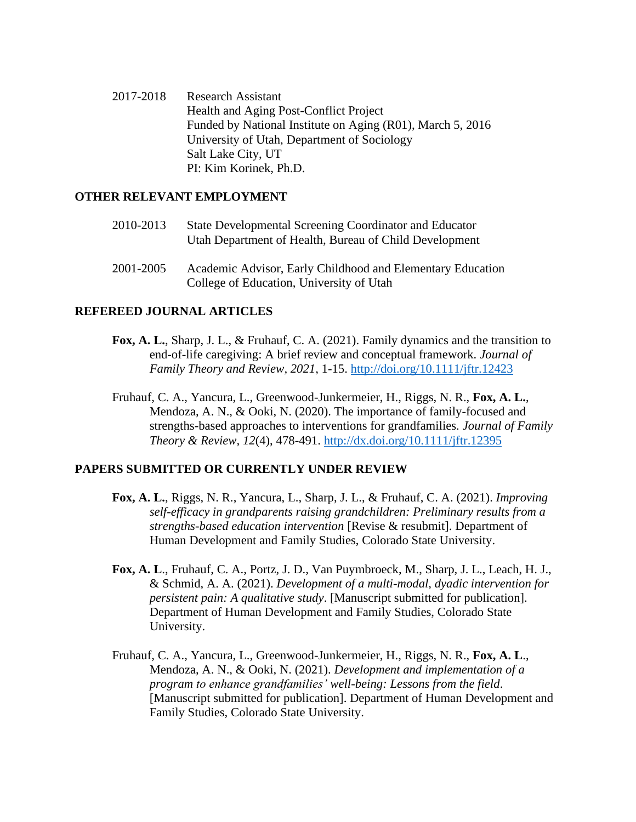2017-2018 Research Assistant Health and Aging Post-Conflict Project Funded by National Institute on Aging (R01), March 5, 2016 University of Utah, Department of Sociology Salt Lake City, UT PI: Kim Korinek, Ph.D.

#### **OTHER RELEVANT EMPLOYMENT**

- 2010-2013 State Developmental Screening Coordinator and Educator Utah Department of Health, Bureau of Child Development
- 2001-2005 Academic Advisor, Early Childhood and Elementary Education College of Education, University of Utah

#### **REFEREED JOURNAL ARTICLES**

- **Fox, A. L.**, Sharp, J. L., & Fruhauf, C. A. (2021). Family dynamics and the transition to end-of-life caregiving: A brief review and conceptual framework. *Journal of Family Theory and Review, 2021*, 1-15.<http://doi.org/10.1111/jftr.12423>
- Fruhauf, C. A., Yancura, L., Greenwood-Junkermeier, H., Riggs, N. R., **Fox, A. L.**, Mendoza, A. N., & Ooki, N. (2020). The importance of family-focused and strengths-based approaches to interventions for grandfamilies*. Journal of Family Theory & Review, 12*(4), 478-491.<http://dx.doi.org/10.1111/jftr.12395>

#### **PAPERS SUBMITTED OR CURRENTLY UNDER REVIEW**

- **Fox, A. L.**, Riggs, N. R., Yancura, L., Sharp, J. L., & Fruhauf, C. A. (2021). *Improving self-efficacy in grandparents raising grandchildren: Preliminary results from a strengths-based education intervention* [Revise & resubmit]. Department of Human Development and Family Studies, Colorado State University.
- **Fox, A. L**., Fruhauf, C. A., Portz, J. D., Van Puymbroeck, M., Sharp, J. L., Leach, H. J., & Schmid, A. A. (2021). *Development of a multi-modal, dyadic intervention for persistent pain: A qualitative study*. [Manuscript submitted for publication]. Department of Human Development and Family Studies, Colorado State University.
- Fruhauf, C. A., Yancura, L., Greenwood-Junkermeier, H., Riggs, N. R., **Fox, A. L**., Mendoza, A. N., & Ooki, N. (2021). *Development and implementation of a program to enhance grandfamilies' well-being: Lessons from the field*. [Manuscript submitted for publication]. Department of Human Development and Family Studies, Colorado State University.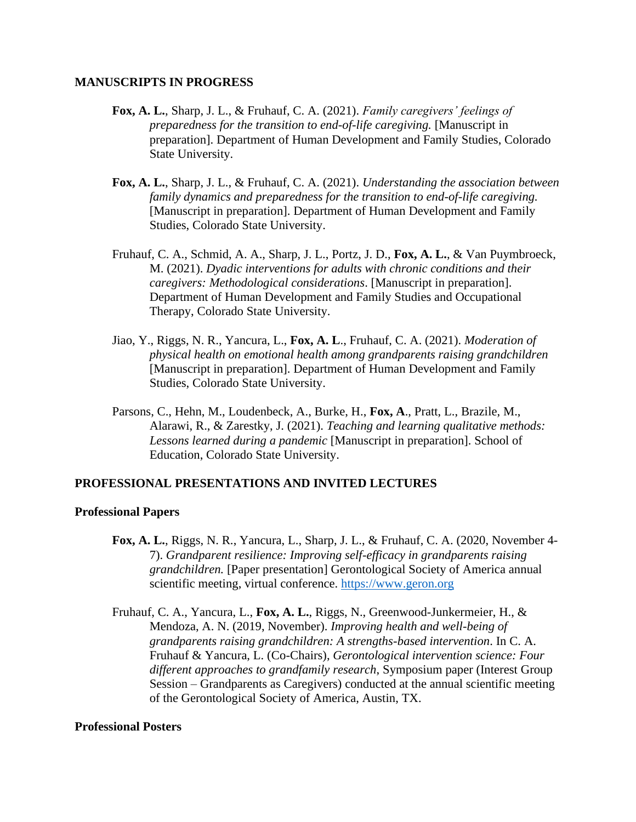#### **MANUSCRIPTS IN PROGRESS**

- **Fox, A. L.**, Sharp, J. L., & Fruhauf, C. A. (2021). *Family caregivers' feelings of preparedness for the transition to end-of-life caregiving.* [Manuscript in preparation]. Department of Human Development and Family Studies, Colorado State University.
- **Fox, A. L.**, Sharp, J. L., & Fruhauf, C. A. (2021). *Understanding the association between family dynamics and preparedness for the transition to end-of-life caregiving.*  [Manuscript in preparation]. Department of Human Development and Family Studies, Colorado State University.
- Fruhauf, C. A., Schmid, A. A., Sharp, J. L., Portz, J. D., **Fox, A. L.**, & Van Puymbroeck, M. (2021). *Dyadic interventions for adults with chronic conditions and their caregivers: Methodological considerations*. [Manuscript in preparation]. Department of Human Development and Family Studies and Occupational Therapy, Colorado State University.
- Jiao, Y., Riggs, N. R., Yancura, L., **Fox, A. L**., Fruhauf, C. A. (2021). *Moderation of physical health on emotional health among grandparents raising grandchildren* [Manuscript in preparation]. Department of Human Development and Family Studies, Colorado State University.
- Parsons, C., Hehn, M., Loudenbeck, A., Burke, H., **Fox, A**., Pratt, L., Brazile, M., Alarawi, R., & Zarestky, J. (2021). *Teaching and learning qualitative methods: Lessons learned during a pandemic* [Manuscript in preparation]. School of Education, Colorado State University.

### **PROFESSIONAL PRESENTATIONS AND INVITED LECTURES**

#### **Professional Papers**

- **Fox, A. L.**, Riggs, N. R., Yancura, L., Sharp, J. L., & Fruhauf, C. A. (2020, November 4- 7). *Grandparent resilience: Improving self-efficacy in grandparents raising grandchildren.* [Paper presentation] Gerontological Society of America annual scientific meeting, virtual conference. [https://www.geron.org](https://www.geron.org/)
- Fruhauf, C. A., Yancura, L., **Fox, A. L.**, Riggs, N., Greenwood-Junkermeier, H., & Mendoza, A. N. (2019, November). *Improving health and well-being of grandparents raising grandchildren: A strengths-based intervention*. In C. A. Fruhauf & Yancura, L. (Co-Chairs), *Gerontological intervention science: Four different approaches to grandfamily research*, Symposium paper (Interest Group Session – Grandparents as Caregivers) conducted at the annual scientific meeting of the Gerontological Society of America, Austin, TX.

#### **Professional Posters**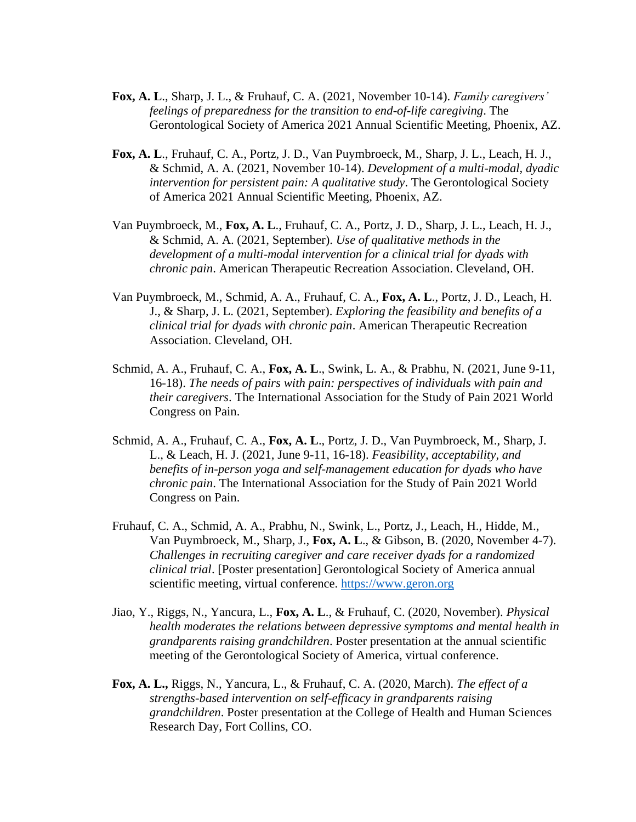- **Fox, A. L**., Sharp, J. L., & Fruhauf, C. A. (2021, November 10-14). *Family caregivers' feelings of preparedness for the transition to end-of-life caregiving*. The Gerontological Society of America 2021 Annual Scientific Meeting, Phoenix, AZ.
- **Fox, A. L**., Fruhauf, C. A., Portz, J. D., Van Puymbroeck, M., Sharp, J. L., Leach, H. J., & Schmid, A. A. (2021, November 10-14). *Development of a multi-modal, dyadic intervention for persistent pain: A qualitative study*. The Gerontological Society of America 2021 Annual Scientific Meeting, Phoenix, AZ.
- Van Puymbroeck, M., **Fox, A. L**., Fruhauf, C. A., Portz, J. D., Sharp, J. L., Leach, H. J., & Schmid, A. A. (2021, September). *Use of qualitative methods in the development of a multi-modal intervention for a clinical trial for dyads with chronic pain*. American Therapeutic Recreation Association. Cleveland, OH.
- Van Puymbroeck, M., Schmid, A. A., Fruhauf, C. A., **Fox, A. L**., Portz, J. D., Leach, H. J., & Sharp, J. L. (2021, September). *Exploring the feasibility and benefits of a clinical trial for dyads with chronic pain*. American Therapeutic Recreation Association. Cleveland, OH.
- Schmid, A. A., Fruhauf, C. A., **Fox, A. L**., Swink, L. A., & Prabhu, N. (2021, June 9-11, 16-18). *The needs of pairs with pain: perspectives of individuals with pain and their caregivers*. The International Association for the Study of Pain 2021 World Congress on Pain.
- Schmid, A. A., Fruhauf, C. A., **Fox, A. L**., Portz, J. D., Van Puymbroeck, M., Sharp, J. L., & Leach, H. J. (2021, June 9-11, 16-18). *Feasibility, acceptability, and benefits of in-person yoga and self-management education for dyads who have chronic pain*. The International Association for the Study of Pain 2021 World Congress on Pain.
- Fruhauf, C. A., Schmid, A. A., Prabhu, N., Swink, L., Portz, J., Leach, H., Hidde, M., Van Puymbroeck, M., Sharp, J., **Fox, A. L**., & Gibson, B. (2020, November 4-7). *Challenges in recruiting caregiver and care receiver dyads for a randomized clinical trial*. [Poster presentation] Gerontological Society of America annual scientific meeting, virtual conference. [https://www.geron.org](https://www.geron.org/)
- Jiao, Y., Riggs, N., Yancura, L., **Fox, A. L**., & Fruhauf, C. (2020, November). *Physical health moderates the relations between depressive symptoms and mental health in grandparents raising grandchildren*. Poster presentation at the annual scientific meeting of the Gerontological Society of America, virtual conference.
- **Fox, A. L.,** Riggs, N., Yancura, L., & Fruhauf, C. A. (2020, March). *The effect of a strengths-based intervention on self-efficacy in grandparents raising grandchildren*. Poster presentation at the College of Health and Human Sciences Research Day, Fort Collins, CO.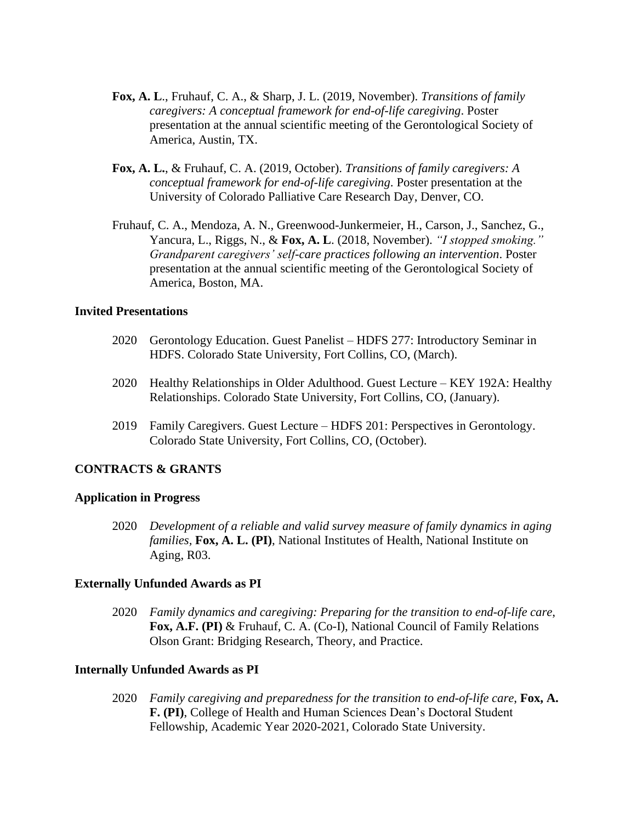- **Fox, A. L**., Fruhauf, C. A., & Sharp, J. L. (2019, November). *Transitions of family caregivers: A conceptual framework for end-of-life caregiving*. Poster presentation at the annual scientific meeting of the Gerontological Society of America, Austin, TX.
- **Fox, A. L.**, & Fruhauf, C. A. (2019, October). *Transitions of family caregivers: A conceptual framework for end-of-life caregiving*. Poster presentation at the University of Colorado Palliative Care Research Day, Denver, CO.
- Fruhauf, C. A., Mendoza, A. N., Greenwood-Junkermeier, H., Carson, J., Sanchez, G., Yancura, L., Riggs, N., & **Fox, A. L**. (2018, November). *"I stopped smoking." Grandparent caregivers' self-care practices following an intervention*. Poster presentation at the annual scientific meeting of the Gerontological Society of America, Boston, MA.

#### **Invited Presentations**

- 2020 Gerontology Education. Guest Panelist HDFS 277: Introductory Seminar in HDFS. Colorado State University, Fort Collins, CO, (March).
- 2020 Healthy Relationships in Older Adulthood. Guest Lecture KEY 192A: Healthy Relationships. Colorado State University, Fort Collins, CO, (January).
- 2019 Family Caregivers. Guest Lecture HDFS 201: Perspectives in Gerontology. Colorado State University, Fort Collins, CO, (October).

### **CONTRACTS & GRANTS**

#### **Application in Progress**

2020 *Development of a reliable and valid survey measure of family dynamics in aging families,* **Fox, A. L. (PI)**, National Institutes of Health, National Institute on Aging, R03.

#### **Externally Unfunded Awards as PI**

2020 *Family dynamics and caregiving: Preparing for the transition to end-of-life care*, **Fox, A.F. (PI)** & Fruhauf, C. A. (Co-I), National Council of Family Relations Olson Grant: Bridging Research, Theory, and Practice.

### **Internally Unfunded Awards as PI**

2020 *Family caregiving and preparedness for the transition to end-of-life care*, **Fox, A. F. (PI)**, College of Health and Human Sciences Dean's Doctoral Student Fellowship, Academic Year 2020-2021, Colorado State University.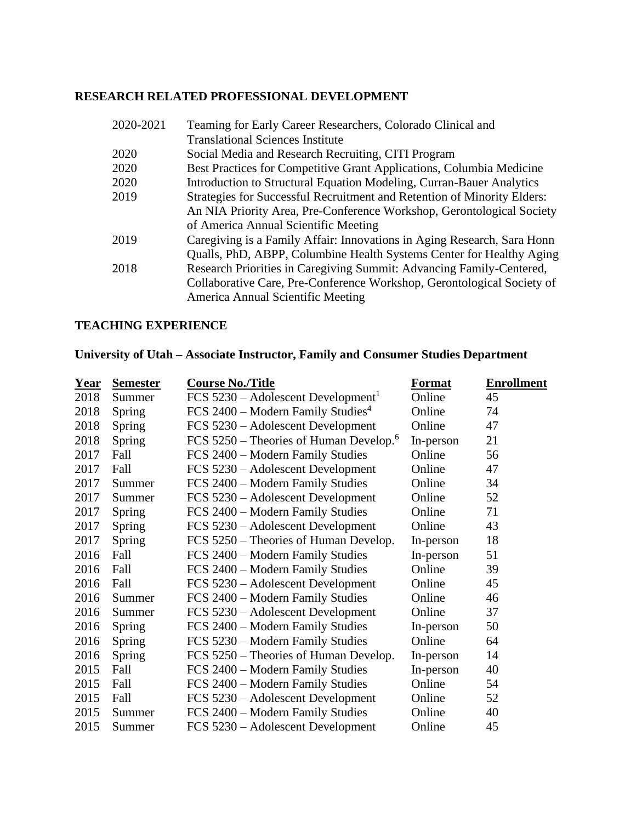# **RESEARCH RELATED PROFESSIONAL DEVELOPMENT**

| 2020-2021 | Teaming for Early Career Researchers, Colorado Clinical and             |
|-----------|-------------------------------------------------------------------------|
|           | <b>Translational Sciences Institute</b>                                 |
| 2020      | Social Media and Research Recruiting, CITI Program                      |
| 2020      | Best Practices for Competitive Grant Applications, Columbia Medicine    |
| 2020      | Introduction to Structural Equation Modeling, Curran-Bauer Analytics    |
| 2019      | Strategies for Successful Recruitment and Retention of Minority Elders: |
|           | An NIA Priority Area, Pre-Conference Workshop, Gerontological Society   |
|           | of America Annual Scientific Meeting                                    |
| 2019      | Caregiving is a Family Affair: Innovations in Aging Research, Sara Honn |
|           | Qualls, PhD, ABPP, Columbine Health Systems Center for Healthy Aging    |
| 2018      | Research Priorities in Caregiving Summit: Advancing Family-Centered,    |
|           | Collaborative Care, Pre-Conference Workshop, Gerontological Society of  |
|           | America Annual Scientific Meeting                                       |
|           |                                                                         |

# **TEACHING EXPERIENCE**

# **University of Utah – Associate Instructor, Family and Consumer Studies Department**

| <u>Year</u> | <b>Semester</b> | <b>Course No./Title</b>                              | <b>Format</b> | <b>Enrollment</b> |
|-------------|-----------------|------------------------------------------------------|---------------|-------------------|
| 2018        | Summer          | $FCS 5230 - Adolescent Development1$                 | Online        | 45                |
| 2018        | Spring          | FCS $2400$ – Modern Family Studies <sup>4</sup>      | Online        | 74                |
| 2018        | Spring          | FCS 5230 – Adolescent Development                    | Online        | 47                |
| 2018        | Spring          | FCS $5250$ – Theories of Human Develop. <sup>6</sup> | In-person     | 21                |
| 2017        | Fall            | FCS 2400 – Modern Family Studies                     | Online        | 56                |
| 2017        | Fall            | FCS 5230 – Adolescent Development                    | Online        | 47                |
| 2017        | Summer          | FCS 2400 – Modern Family Studies                     | Online        | 34                |
| 2017        | Summer          | FCS 5230 – Adolescent Development                    | Online        | 52                |
| 2017        | Spring          | FCS 2400 – Modern Family Studies                     | Online        | 71                |
| 2017        | Spring          | FCS 5230 - Adolescent Development                    | Online        | 43                |
| 2017        | Spring          | FCS 5250 – Theories of Human Develop.                | In-person     | 18                |
| 2016        | Fall            | FCS 2400 – Modern Family Studies                     | In-person     | 51                |
| 2016        | Fall            | FCS 2400 - Modern Family Studies                     | Online        | 39                |
| 2016        | Fall            | FCS 5230 – Adolescent Development                    | Online        | 45                |
| 2016        | Summer          | FCS 2400 – Modern Family Studies                     | Online        | 46                |
| 2016        | Summer          | FCS 5230 – Adolescent Development                    | Online        | 37                |
| 2016        | Spring          | FCS 2400 – Modern Family Studies                     | In-person     | 50                |
| 2016        | Spring          | FCS 5230 – Modern Family Studies                     | Online        | 64                |
| 2016        | Spring          | FCS 5250 – Theories of Human Develop.                | In-person     | 14                |
| 2015        | Fall            | FCS 2400 – Modern Family Studies                     | In-person     | 40                |
| 2015        | Fall            | FCS 2400 – Modern Family Studies                     | Online        | 54                |
| 2015        | Fall            | FCS 5230 – Adolescent Development                    | Online        | 52                |
| 2015        | Summer          | FCS 2400 – Modern Family Studies                     | Online        | 40                |
| 2015        | Summer          | FCS 5230 – Adolescent Development                    | Online        | 45                |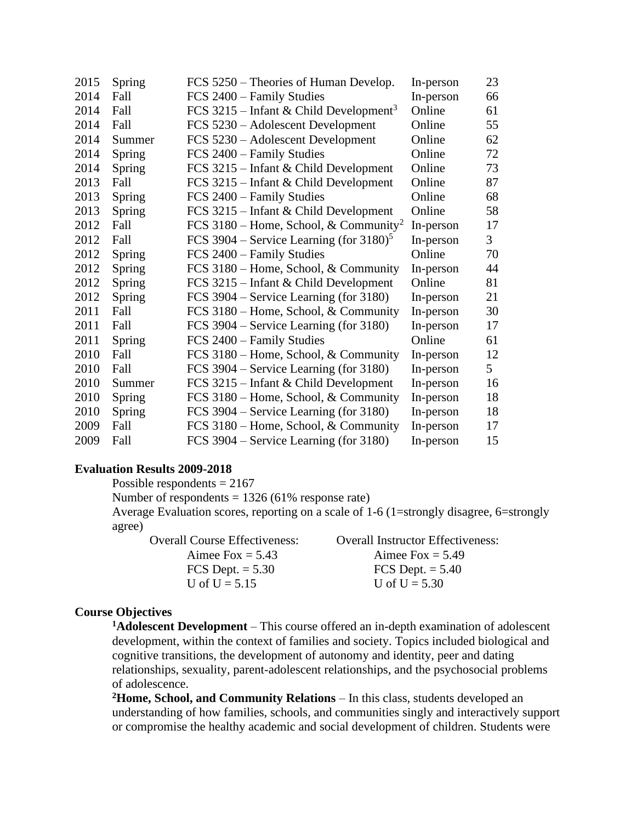| 2015 | Spring | FCS 5250 – Theories of Human Develop.                  | In-person | 23             |
|------|--------|--------------------------------------------------------|-----------|----------------|
| 2014 | Fall   | FCS 2400 - Family Studies                              | In-person | 66             |
| 2014 | Fall   | FCS 3215 – Infant & Child Development <sup>3</sup>     | Online    | 61             |
| 2014 | Fall   | FCS 5230 – Adolescent Development                      | Online    | 55             |
| 2014 | Summer | FCS 5230 – Adolescent Development                      | Online    | 62             |
| 2014 | Spring | FCS 2400 – Family Studies                              | Online    | 72             |
| 2014 | Spring | FCS 3215 – Infant & Child Development                  | Online    | 73             |
| 2013 | Fall   | FCS 3215 – Infant & Child Development                  | Online    | 87             |
| 2013 | Spring | FCS 2400 - Family Studies                              | Online    | 68             |
| 2013 | Spring | FCS 3215 – Infant & Child Development                  | Online    | 58             |
| 2012 | Fall   | FCS 3180 – Home, School, & Community <sup>2</sup>      | In-person | 17             |
| 2012 | Fall   | FCS 3904 – Service Learning (for $3180$ ) <sup>5</sup> | In-person | 3 <sup>1</sup> |
| 2012 | Spring | FCS 2400 - Family Studies                              | Online    | 70             |
| 2012 | Spring | FCS 3180 – Home, School, & Community                   | In-person | 44             |
| 2012 | Spring | FCS 3215 – Infant & Child Development                  | Online    | 81             |
| 2012 | Spring | FCS 3904 – Service Learning (for 3180)                 | In-person | 21             |
| 2011 | Fall   | FCS 3180 – Home, School, & Community                   | In-person | 30             |
| 2011 | Fall   | FCS 3904 – Service Learning (for 3180)                 | In-person | 17             |
| 2011 | Spring | FCS 2400 - Family Studies                              | Online    | 61             |
| 2010 | Fall   | FCS 3180 – Home, School, & Community                   | In-person | 12             |
| 2010 | Fall   | FCS 3904 – Service Learning (for 3180)                 | In-person | 5 <sup>1</sup> |
| 2010 | Summer | FCS 3215 – Infant & Child Development                  | In-person | 16             |
| 2010 | Spring | FCS 3180 – Home, School, & Community                   | In-person | 18             |
| 2010 | Spring | FCS 3904 – Service Learning (for 3180)                 | In-person | 18             |
| 2009 | Fall   | FCS 3180 – Home, School, & Community                   | In-person | 17             |
| 2009 | Fall   | FCS 3904 – Service Learning (for 3180)                 | In-person | 15             |

#### **Evaluation Results 2009-2018**

Possible respondents = 2167

Number of respondents  $= 1326 (61\%$  response rate)

Average Evaluation scores, reporting on a scale of 1-6 (1=strongly disagree, 6=strongly agree)

Overall Course Effectiveness: Overall Instructor Effectiveness: Aimee Fox  $= 5.43$  Aimee Fox  $= 5.49$ FCS Dept.  $= 5.30$  FCS Dept.  $= 5.40$ U of  $U = 5.15$  U of  $U = 5.30$ 

#### **Course Objectives**

**Adolescent Development** – This course offered an in-depth examination of adolescent development, within the context of families and society. Topics included biological and cognitive transitions, the development of autonomy and identity, peer and dating relationships, sexuality, parent-adolescent relationships, and the psychosocial problems of adolescence.

**Home, School, and Community Relations** – In this class, students developed an understanding of how families, schools, and communities singly and interactively support or compromise the healthy academic and social development of children. Students were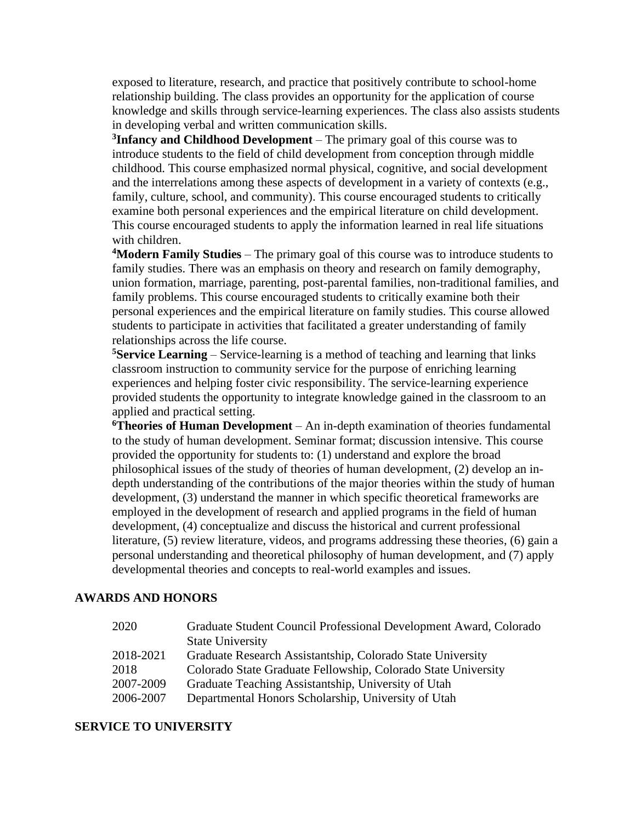exposed to literature, research, and practice that positively contribute to school-home relationship building. The class provides an opportunity for the application of course knowledge and skills through service-learning experiences. The class also assists students in developing verbal and written communication skills.

**3 Infancy and Childhood Development** – The primary goal of this course was to introduce students to the field of child development from conception through middle childhood. This course emphasized normal physical, cognitive, and social development and the interrelations among these aspects of development in a variety of contexts (e.g., family, culture, school, and community). This course encouraged students to critically examine both personal experiences and the empirical literature on child development. This course encouraged students to apply the information learned in real life situations with children.

**<sup>4</sup>Modern Family Studies** – The primary goal of this course was to introduce students to family studies. There was an emphasis on theory and research on family demography, union formation, marriage, parenting, post-parental families, non-traditional families, and family problems. This course encouraged students to critically examine both their personal experiences and the empirical literature on family studies. This course allowed students to participate in activities that facilitated a greater understanding of family relationships across the life course.

**<sup>5</sup>Service Learning** – Service-learning is a method of teaching and learning that links classroom instruction to community service for the purpose of enriching learning experiences and helping foster civic responsibility. The service-learning experience provided students the opportunity to integrate knowledge gained in the classroom to an applied and practical setting.

**<sup>6</sup>Theories of Human Development** – An in-depth examination of theories fundamental to the study of human development. Seminar format; discussion intensive. This course provided the opportunity for students to: (1) understand and explore the broad philosophical issues of the study of theories of human development, (2) develop an indepth understanding of the contributions of the major theories within the study of human development, (3) understand the manner in which specific theoretical frameworks are employed in the development of research and applied programs in the field of human development, (4) conceptualize and discuss the historical and current professional literature, (5) review literature, videos, and programs addressing these theories, (6) gain a personal understanding and theoretical philosophy of human development, and (7) apply developmental theories and concepts to real-world examples and issues.

### **AWARDS AND HONORS**

| 2020      | Graduate Student Council Professional Development Award, Colorado |
|-----------|-------------------------------------------------------------------|
|           | <b>State University</b>                                           |
| 2018-2021 | Graduate Research Assistantship, Colorado State University        |
| 2018      | Colorado State Graduate Fellowship, Colorado State University     |
| 2007-2009 | Graduate Teaching Assistantship, University of Utah               |
| 2006-2007 | Departmental Honors Scholarship, University of Utah               |

#### **SERVICE TO UNIVERSITY**